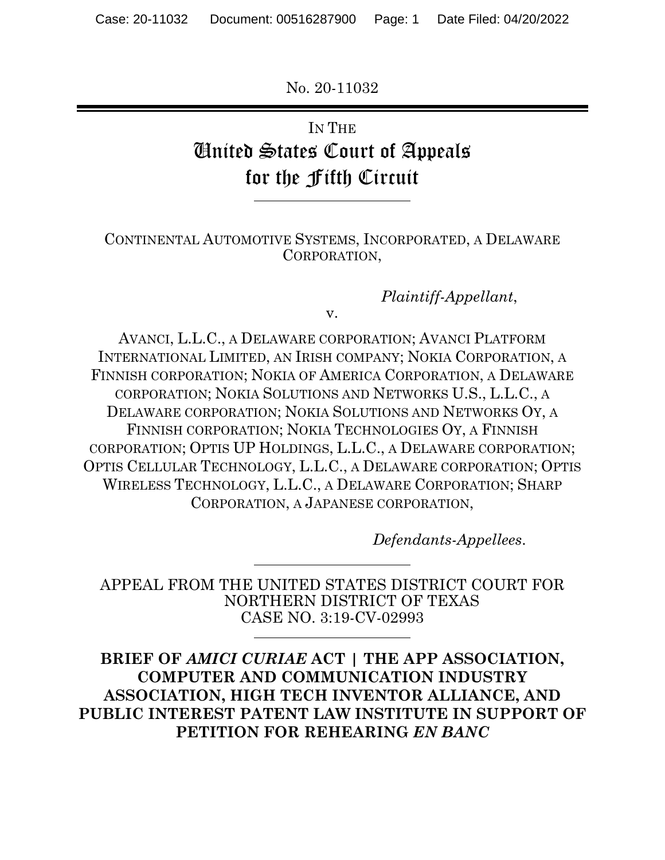No. 20-11032

# IN THE United States Court of Appeals for the Fifth Circuit

l

 $\overline{a}$ 

#### CONTINENTAL AUTOMOTIVE SYSTEMS, INCORPORATED, A DELAWARE CORPORATION,

*Plaintiff-Appellant*,

v.

AVANCI, L.L.C., A DELAWARE CORPORATION; AVANCI PLATFORM INTERNATIONAL LIMITED, AN IRISH COMPANY; NOKIA CORPORATION, A FINNISH CORPORATION; NOKIA OF AMERICA CORPORATION, A DELAWARE CORPORATION; NOKIA SOLUTIONS AND NETWORKS U.S., L.L.C., A DELAWARE CORPORATION; NOKIA SOLUTIONS AND NETWORKS OY, A FINNISH CORPORATION; NOKIA TECHNOLOGIES OY, A FINNISH CORPORATION; OPTIS UP HOLDINGS, L.L.C., A DELAWARE CORPORATION; OPTIS CELLULAR TECHNOLOGY, L.L.C., A DELAWARE CORPORATION; OPTIS WIRELESS TECHNOLOGY, L.L.C., A DELAWARE CORPORATION; SHARP CORPORATION, A JAPANESE CORPORATION,

*Defendants-Appellees*.

APPEAL FROM THE UNITED STATES DISTRICT COURT FOR NORTHERN DISTRICT OF TEXAS CASE NO. 3:19-CV-02993

**BRIEF OF** *AMICI CURIAE* **ACT | THE APP ASSOCIATION, COMPUTER AND COMMUNICATION INDUSTRY ASSOCIATION, HIGH TECH INVENTOR ALLIANCE, AND PUBLIC INTEREST PATENT LAW INSTITUTE IN SUPPORT OF PETITION FOR REHEARING** *EN BANC*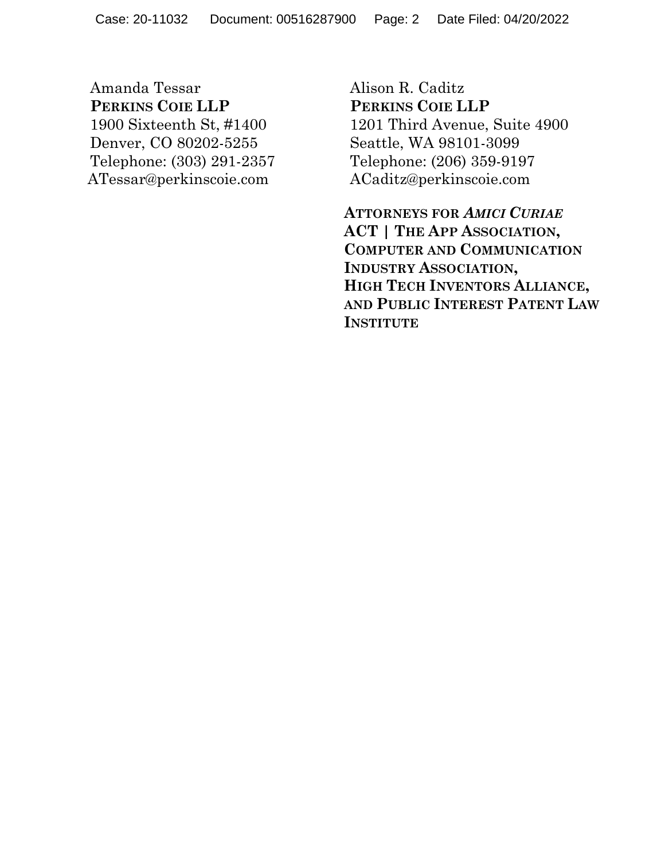Amanda Tessar **PERKINS COIE LLP**  1900 Sixteenth St, #1400 Denver, CO 80202-5255 Telephone: (303) 291-2357 ATessar@perkinscoie.com

Alison R. Caditz **PERKINS COIE LLP**  1201 Third Avenue, Suite 4900 Seattle, WA 98101-3099 Telephone: (206) 359-9197 ACaditz@perkinscoie.com

**ATTORNEYS FOR** *AMICI CURIAE*  **ACT | THE APP ASSOCIATION, COMPUTER AND COMMUNICATION INDUSTRY ASSOCIATION, HIGH TECH INVENTORS ALLIANCE, AND PUBLIC INTEREST PATENT LAW INSTITUTE**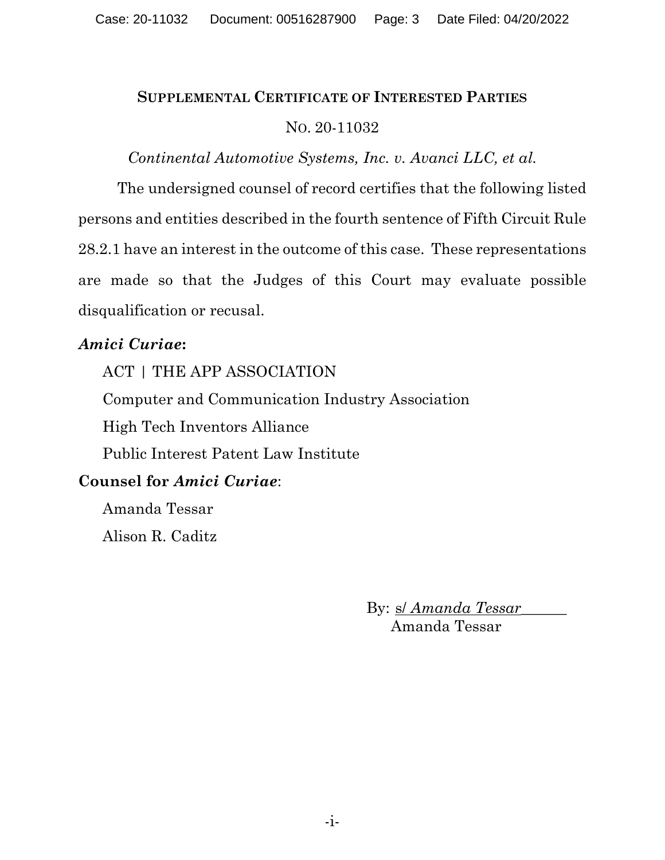# **SUPPLEMENTAL CERTIFICATE OF INTERESTED PARTIES** NO. 20-11032

### *Continental Automotive Systems, Inc. v. Avanci LLC, et al.*

The undersigned counsel of record certifies that the following listed persons and entities described in the fourth sentence of Fifth Circuit Rule 28.2.1 have an interest in the outcome of this case. These representations are made so that the Judges of this Court may evaluate possible disqualification or recusal.

# *Amici Curiae***:**

ACT | THE APP ASSOCIATION Computer and Communication Industry Association High Tech Inventors Alliance Public Interest Patent Law Institute

# **Counsel for** *Amici Curiae*:

Amanda Tessar Alison R. Caditz

> By: s/ *Amanda Tessar* Amanda Tessar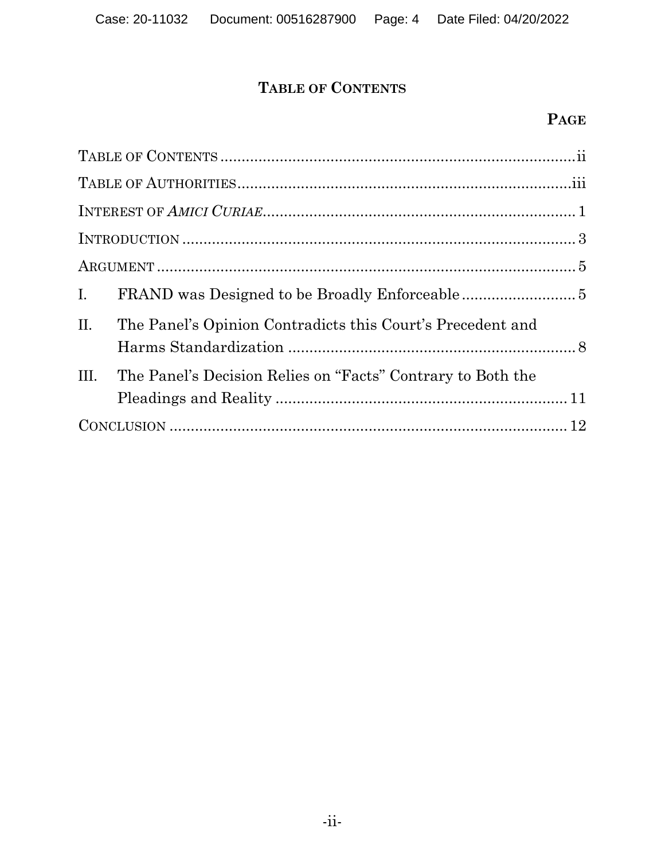# **TABLE OF CONTENTS**

# **PAGE**

| $I_{\cdot}$ |                                                             |  |  |
|-------------|-------------------------------------------------------------|--|--|
| II.         | The Panel's Opinion Contradicts this Court's Precedent and  |  |  |
| III.        | The Panel's Decision Relies on "Facts" Contrary to Both the |  |  |
|             |                                                             |  |  |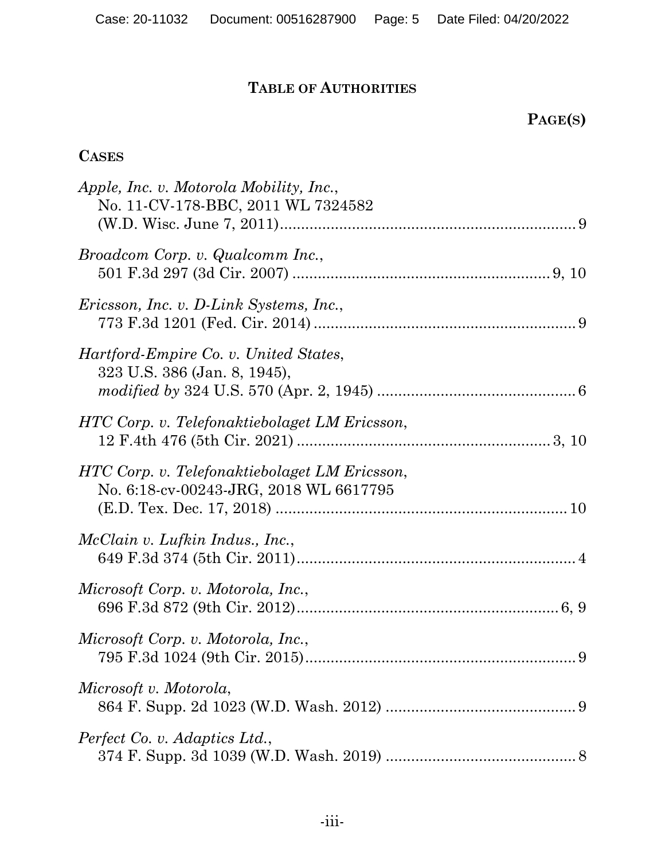# **TABLE OF AUTHORITIES**

# **PAGE(S)**

## **CASES**

| Apple, Inc. v. Motorola Mobility, Inc.,<br>No. 11-CV-178-BBC, 2011 WL 7324582           |
|-----------------------------------------------------------------------------------------|
| Broadcom Corp. v. Qualcomm Inc.,                                                        |
| Ericsson, Inc. v. D-Link Systems, Inc.,                                                 |
| <i>Hartford-Empire Co. v. United States,</i><br>323 U.S. 386 (Jan. 8, 1945),            |
| HTC Corp. v. Telefonaktiebolaget LM Ericsson,                                           |
| HTC Corp. v. Telefonaktiebolaget LM Ericsson,<br>No. 6:18-cv-00243-JRG, 2018 WL 6617795 |
| <i>McClain v. Lufkin Indus., Inc.,</i>                                                  |
| Microsoft Corp. v. Motorola, Inc.,                                                      |
| Microsoft Corp. v. Motorola, Inc.,                                                      |
| Microsoft v. Motorola,                                                                  |
| Perfect Co. v. Adaptics Ltd.,                                                           |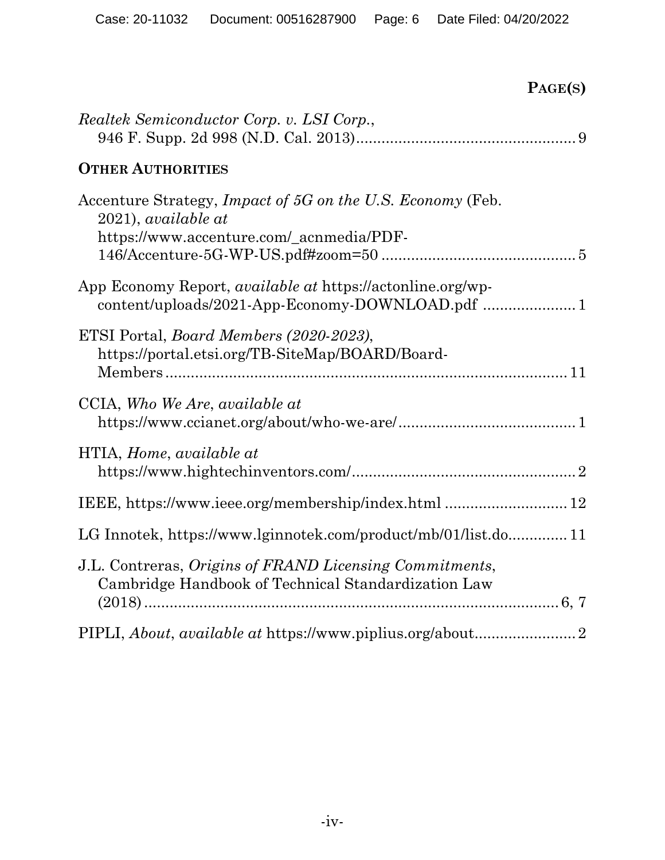**PAGE(S)**

| Realtek Semiconductor Corp. v. LSI Corp.,                                                                                              |  |  |
|----------------------------------------------------------------------------------------------------------------------------------------|--|--|
| <b>OTHER AUTHORITIES</b>                                                                                                               |  |  |
| Accenture Strategy, Impact of 5G on the U.S. Economy (Feb.<br>$2021$ , <i>available at</i><br>https://www.accenture.com/_acnmedia/PDF- |  |  |
| App Economy Report, <i>available at</i> https://actonline.org/wp-                                                                      |  |  |
| ETSI Portal, <i>Board Members (2020-2023)</i> ,<br>https://portal.etsi.org/TB-SiteMap/BOARD/Board-                                     |  |  |
| CCIA, Who We Are, available at                                                                                                         |  |  |
| HTIA, Home, available at<br>$\textit{https://www.hightechinventors.com/} \label{th:th:main} \vspace{-0.5em}$                           |  |  |
| IEEE, https://www.ieee.org/membership/index.html  12                                                                                   |  |  |
| LG Innotek, https://www.lginnotek.com/product/mb/01/list.do 11                                                                         |  |  |
| J.L. Contreras, Origins of FRAND Licensing Commitments,<br>Cambridge Handbook of Technical Standardization Law                         |  |  |
|                                                                                                                                        |  |  |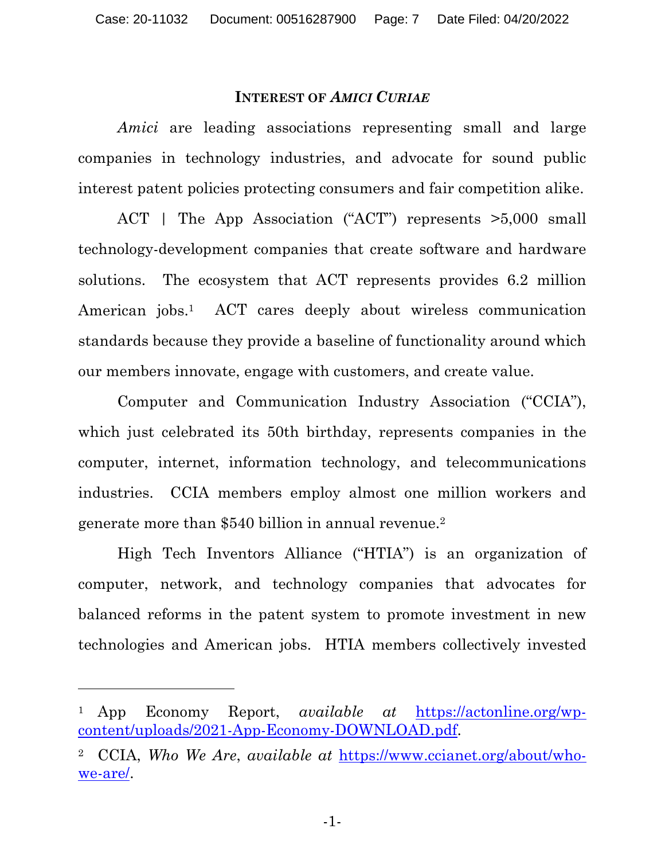#### **INTEREST OF** *AMICI CURIAE*

*Amici* are leading associations representing small and large companies in technology industries, and advocate for sound public interest patent policies protecting consumers and fair competition alike.

ACT | The App Association ("ACT") represents >5,000 small technology-development companies that create software and hardware solutions. The ecosystem that ACT represents provides 6.2 million American jobs.<sup>1</sup> ACT cares deeply about wireless communication standards because they provide a baseline of functionality around which our members innovate, engage with customers, and create value.

Computer and Communication Industry Association ("CCIA"), which just celebrated its 50th birthday, represents companies in the computer, internet, information technology, and telecommunications industries. CCIA members employ almost one million workers and generate more than \$540 billion in annual revenue.2

High Tech Inventors Alliance ("HTIA") is an organization of computer, network, and technology companies that advocates for balanced reforms in the patent system to promote investment in new technologies and American jobs. HTIA members collectively invested

<sup>1</sup> App Economy Report, *available at* https://actonline.org/wpcontent/uploads/2021-App-Economy-DOWNLOAD.pdf.

<sup>2</sup> CCIA, *Who We Are*, *available at* https://www.ccianet.org/about/whowe-are/.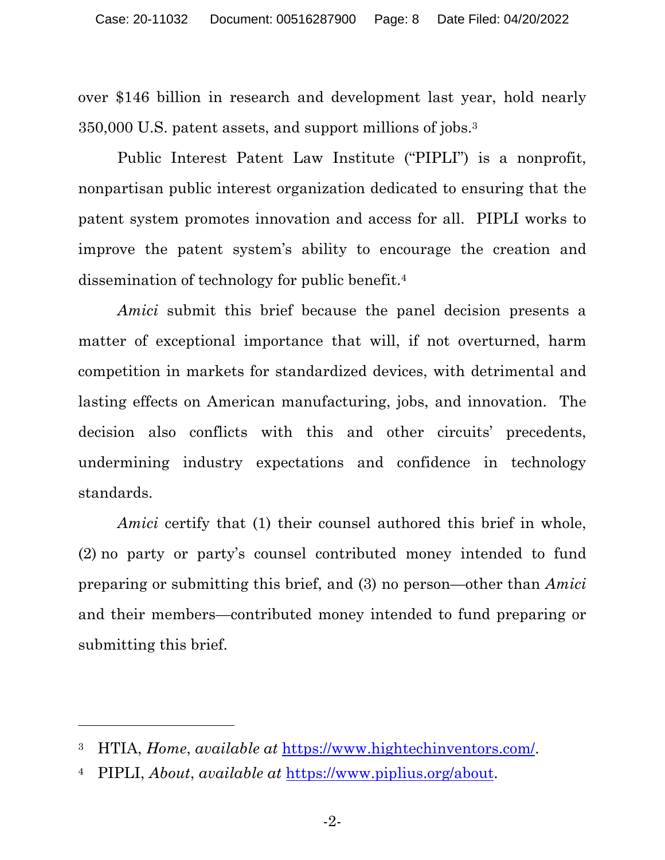over \$146 billion in research and development last year, hold nearly 350,000 U.S. patent assets, and support millions of jobs.3

Public Interest Patent Law Institute ("PIPLI") is a nonprofit, nonpartisan public interest organization dedicated to ensuring that the patent system promotes innovation and access for all. PIPLI works to improve the patent system's ability to encourage the creation and dissemination of technology for public benefit.4

*Amici* submit this brief because the panel decision presents a matter of exceptional importance that will, if not overturned, harm competition in markets for standardized devices, with detrimental and lasting effects on American manufacturing, jobs, and innovation. The decision also conflicts with this and other circuits' precedents, undermining industry expectations and confidence in technology standards.

*Amici* certify that (1) their counsel authored this brief in whole, (2) no party or party's counsel contributed money intended to fund preparing or submitting this brief, and (3) no person—other than *Amici*  and their members—contributed money intended to fund preparing or submitting this brief.

<sup>3</sup> HTIA, *Home*, *available at* https://www.hightechinventors.com/.

<sup>4</sup> PIPLI, *About*, *available at* https://www.piplius.org/about.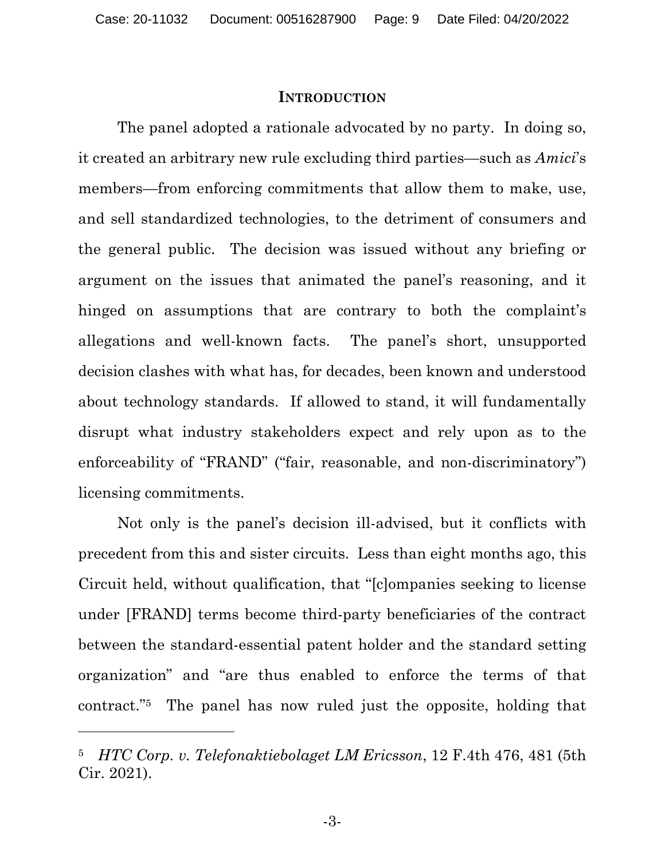#### **INTRODUCTION**

The panel adopted a rationale advocated by no party. In doing so, it created an arbitrary new rule excluding third parties—such as *Amici*'s members—from enforcing commitments that allow them to make, use, and sell standardized technologies, to the detriment of consumers and the general public. The decision was issued without any briefing or argument on the issues that animated the panel's reasoning, and it hinged on assumptions that are contrary to both the complaint's allegations and well-known facts. The panel's short, unsupported decision clashes with what has, for decades, been known and understood about technology standards. If allowed to stand, it will fundamentally disrupt what industry stakeholders expect and rely upon as to the enforceability of "FRAND" ("fair, reasonable, and non-discriminatory") licensing commitments.

Not only is the panel's decision ill-advised, but it conflicts with precedent from this and sister circuits. Less than eight months ago, this Circuit held, without qualification, that "[c]ompanies seeking to license under [FRAND] terms become third-party beneficiaries of the contract between the standard-essential patent holder and the standard setting organization" and "are thus enabled to enforce the terms of that contract."5 The panel has now ruled just the opposite, holding that

<sup>5</sup> *HTC Corp. v. Telefonaktiebolaget LM Ericsson*, 12 F.4th 476, 481 (5th Cir. 2021).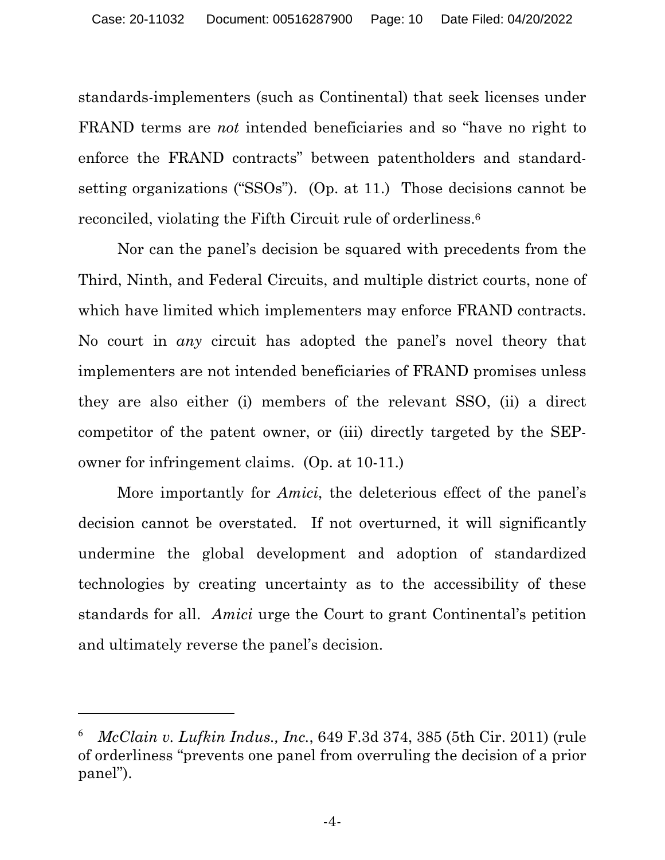standards-implementers (such as Continental) that seek licenses under FRAND terms are *not* intended beneficiaries and so "have no right to enforce the FRAND contracts" between patentholders and standardsetting organizations ("SSOs"). (Op. at 11.) Those decisions cannot be reconciled, violating the Fifth Circuit rule of orderliness.6

Nor can the panel's decision be squared with precedents from the Third, Ninth, and Federal Circuits, and multiple district courts, none of which have limited which implementers may enforce FRAND contracts. No court in *any* circuit has adopted the panel's novel theory that implementers are not intended beneficiaries of FRAND promises unless they are also either (i) members of the relevant SSO, (ii) a direct competitor of the patent owner, or (iii) directly targeted by the SEPowner for infringement claims. (Op. at 10-11.)

 More importantly for *Amici*, the deleterious effect of the panel's decision cannot be overstated. If not overturned, it will significantly undermine the global development and adoption of standardized technologies by creating uncertainty as to the accessibility of these standards for all. *Amici* urge the Court to grant Continental's petition and ultimately reverse the panel's decision.

<sup>6</sup> *McClain v. Lufkin Indus., Inc.*, 649 F.3d 374, 385 (5th Cir. 2011) (rule of orderliness "prevents one panel from overruling the decision of a prior panel").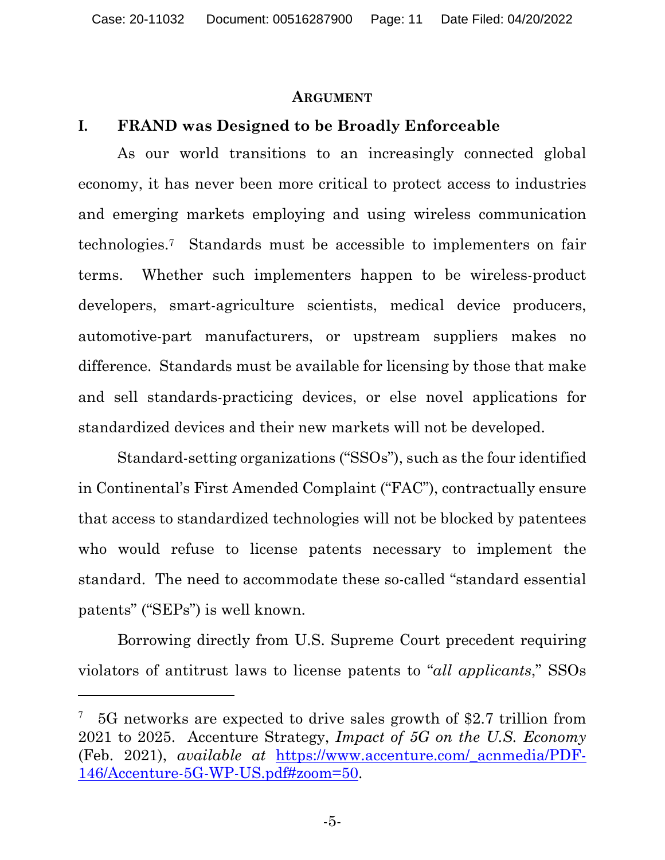#### **ARGUMENT**

#### **I. FRAND was Designed to be Broadly Enforceable**

 As our world transitions to an increasingly connected global economy, it has never been more critical to protect access to industries and emerging markets employing and using wireless communication technologies.7 Standards must be accessible to implementers on fair terms. Whether such implementers happen to be wireless-product developers, smart-agriculture scientists, medical device producers, automotive-part manufacturers, or upstream suppliers makes no difference. Standards must be available for licensing by those that make and sell standards-practicing devices, or else novel applications for standardized devices and their new markets will not be developed.

 Standard-setting organizations ("SSOs"), such as the four identified in Continental's First Amended Complaint ("FAC"), contractually ensure that access to standardized technologies will not be blocked by patentees who would refuse to license patents necessary to implement the standard. The need to accommodate these so-called "standard essential patents" ("SEPs") is well known.

 Borrowing directly from U.S. Supreme Court precedent requiring violators of antitrust laws to license patents to "*all applicants*," SSOs

<sup>7</sup> 5G networks are expected to drive sales growth of \$2.7 trillion from 2021 to 2025. Accenture Strategy, *Impact of 5G on the U.S. Economy* (Feb. 2021), *available at* https://www.accenture.com/\_acnmedia/PDF-146/Accenture-5G-WP-US.pdf#zoom=50.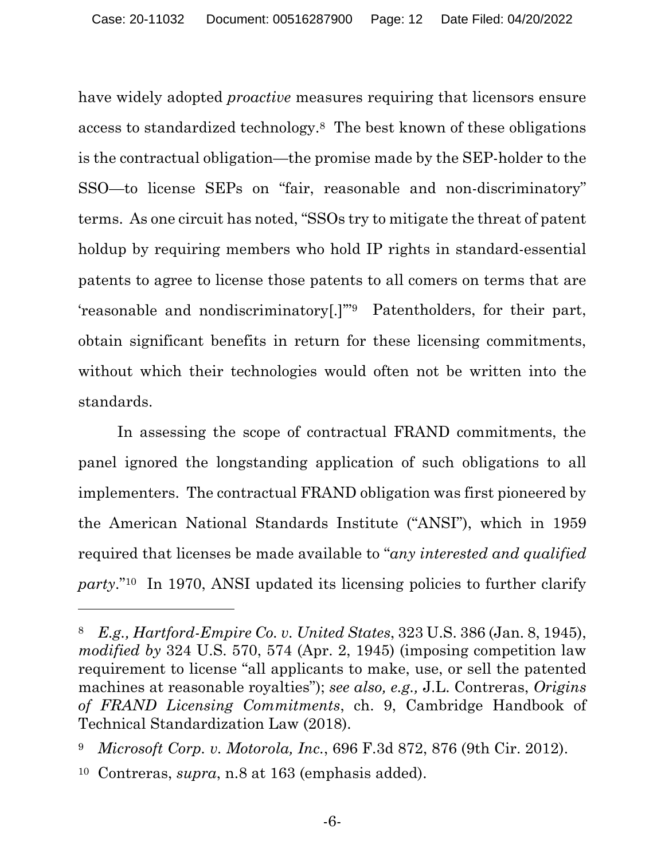have widely adopted *proactive* measures requiring that licensors ensure access to standardized technology.8 The best known of these obligations is the contractual obligation—the promise made by the SEP-holder to the SSO—to license SEPs on "fair, reasonable and non-discriminatory" terms. As one circuit has noted, "SSOs try to mitigate the threat of patent holdup by requiring members who hold IP rights in standard-essential patents to agree to license those patents to all comers on terms that are 'reasonable and nondiscriminatory[.]'"9 Patentholders, for their part, obtain significant benefits in return for these licensing commitments, without which their technologies would often not be written into the standards.

 In assessing the scope of contractual FRAND commitments, the panel ignored the longstanding application of such obligations to all implementers. The contractual FRAND obligation was first pioneered by the American National Standards Institute ("ANSI"), which in 1959 required that licenses be made available to "*any interested and qualified party*."10 In 1970, ANSI updated its licensing policies to further clarify

<sup>8</sup> *E.g., Hartford-Empire Co. v. United States*, 323 U.S. 386 (Jan. 8, 1945), *modified by* 324 U.S. 570, 574 (Apr. 2, 1945) (imposing competition law requirement to license "all applicants to make, use, or sell the patented machines at reasonable royalties"); *see also, e.g.,* J.L. Contreras, *Origins of FRAND Licensing Commitments*, ch. 9, Cambridge Handbook of Technical Standardization Law (2018).

<sup>9</sup> *Microsoft Corp. v. Motorola, Inc.*, 696 F.3d 872, 876 (9th Cir. 2012).

<sup>10</sup> Contreras, *supra*, n.8 at 163 (emphasis added).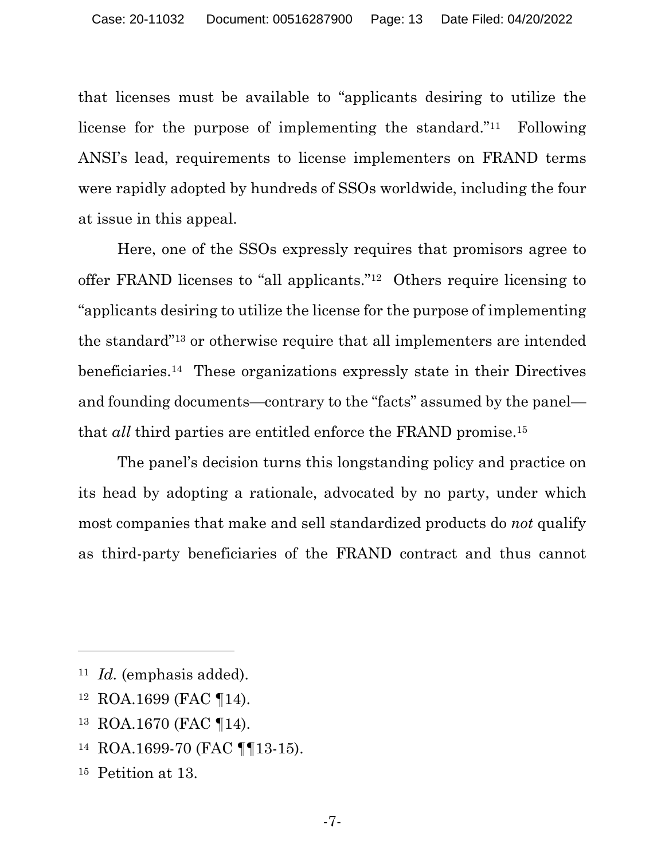that licenses must be available to "applicants desiring to utilize the license for the purpose of implementing the standard."11 Following ANSI's lead, requirements to license implementers on FRAND terms were rapidly adopted by hundreds of SSOs worldwide, including the four at issue in this appeal.

 Here, one of the SSOs expressly requires that promisors agree to offer FRAND licenses to "all applicants."12 Others require licensing to "applicants desiring to utilize the license for the purpose of implementing the standard"13 or otherwise require that all implementers are intended beneficiaries.14 These organizations expressly state in their Directives and founding documents—contrary to the "facts" assumed by the panel that *all* third parties are entitled enforce the FRAND promise.15

 The panel's decision turns this longstanding policy and practice on its head by adopting a rationale, advocated by no party, under which most companies that make and sell standardized products do *not* qualify as third-party beneficiaries of the FRAND contract and thus cannot

- 12 ROA.1699 (FAC ¶14).
- 13 ROA.1670 (FAC ¶14).
- 14 ROA.1699-70 (FAC ¶¶13-15).
- 15 Petition at 13.

<sup>11</sup> *Id.* (emphasis added).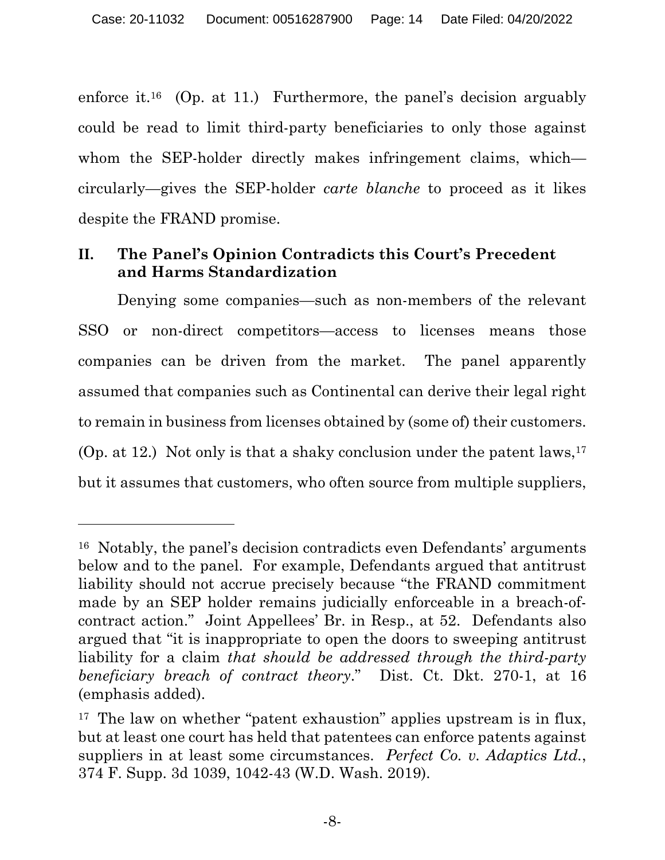enforce it.16 (Op. at 11.) Furthermore, the panel's decision arguably could be read to limit third-party beneficiaries to only those against whom the SEP-holder directly makes infringement claims, which circularly—gives the SEP-holder *carte blanche* to proceed as it likes despite the FRAND promise.

# **II. The Panel's Opinion Contradicts this Court's Precedent and Harms Standardization**

 Denying some companies—such as non-members of the relevant SSO or non-direct competitors—access to licenses means those companies can be driven from the market. The panel apparently assumed that companies such as Continental can derive their legal right to remain in business from licenses obtained by (some of) their customers. (Op. at 12.) Not only is that a shaky conclusion under the patent laws,  $17$ but it assumes that customers, who often source from multiple suppliers,

<sup>16</sup> Notably, the panel's decision contradicts even Defendants' arguments below and to the panel. For example, Defendants argued that antitrust liability should not accrue precisely because "the FRAND commitment made by an SEP holder remains judicially enforceable in a breach-ofcontract action." Joint Appellees' Br. in Resp., at 52. Defendants also argued that "it is inappropriate to open the doors to sweeping antitrust liability for a claim *that should be addressed through the third-party beneficiary breach of contract theory*." Dist. Ct. Dkt. 270-1, at 16 (emphasis added).

<sup>&</sup>lt;sup>17</sup> The law on whether "patent exhaustion" applies upstream is in flux, but at least one court has held that patentees can enforce patents against suppliers in at least some circumstances. *Perfect Co. v. Adaptics Ltd.*, 374 F. Supp. 3d 1039, 1042-43 (W.D. Wash. 2019).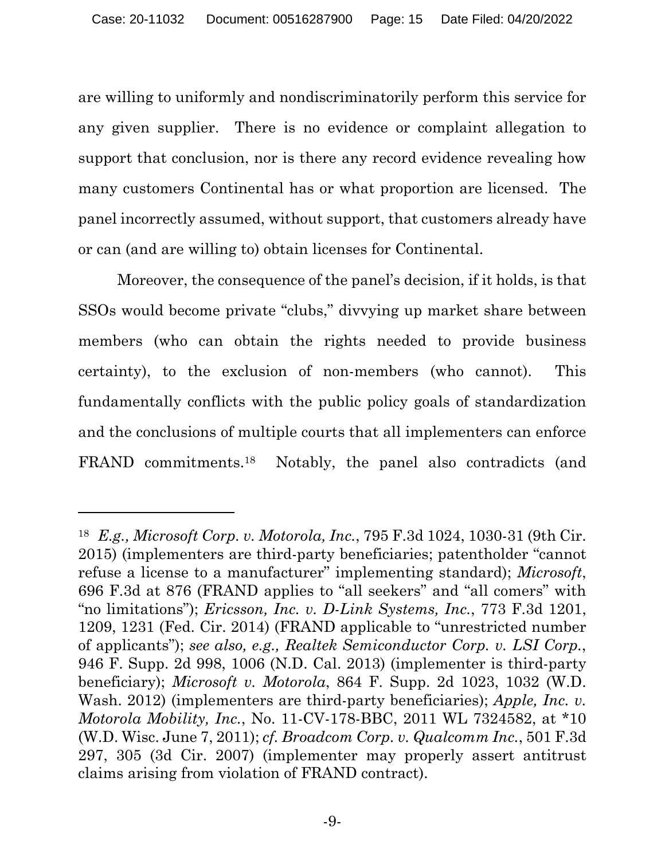are willing to uniformly and nondiscriminatorily perform this service for any given supplier. There is no evidence or complaint allegation to support that conclusion, nor is there any record evidence revealing how many customers Continental has or what proportion are licensed. The panel incorrectly assumed, without support, that customers already have or can (and are willing to) obtain licenses for Continental.

 Moreover, the consequence of the panel's decision, if it holds, is that SSOs would become private "clubs," divvying up market share between members (who can obtain the rights needed to provide business certainty), to the exclusion of non-members (who cannot). This fundamentally conflicts with the public policy goals of standardization and the conclusions of multiple courts that all implementers can enforce FRAND commitments.18 Notably, the panel also contradicts (and

<sup>18</sup> *E.g., Microsoft Corp. v. Motorola, Inc.*, 795 F.3d 1024, 1030-31 (9th Cir. 2015) (implementers are third-party beneficiaries; patentholder "cannot refuse a license to a manufacturer" implementing standard); *Microsoft*, 696 F.3d at 876 (FRAND applies to "all seekers" and "all comers" with "no limitations"); *Ericsson, Inc. v. D-Link Systems, Inc.*, 773 F.3d 1201, 1209, 1231 (Fed. Cir. 2014) (FRAND applicable to "unrestricted number of applicants"); *see also, e.g., Realtek Semiconductor Corp. v. LSI Corp.*, 946 F. Supp. 2d 998, 1006 (N.D. Cal. 2013) (implementer is third-party beneficiary); *Microsoft v. Motorola*, 864 F. Supp. 2d 1023, 1032 (W.D. Wash. 2012) (implementers are third-party beneficiaries); *Apple, Inc. v. Motorola Mobility, Inc.*, No. 11-CV-178-BBC, 2011 WL 7324582, at \*10 (W.D. Wisc. June 7, 2011); *cf. Broadcom Corp. v. Qualcomm Inc.*, 501 F.3d 297, 305 (3d Cir. 2007) (implementer may properly assert antitrust claims arising from violation of FRAND contract).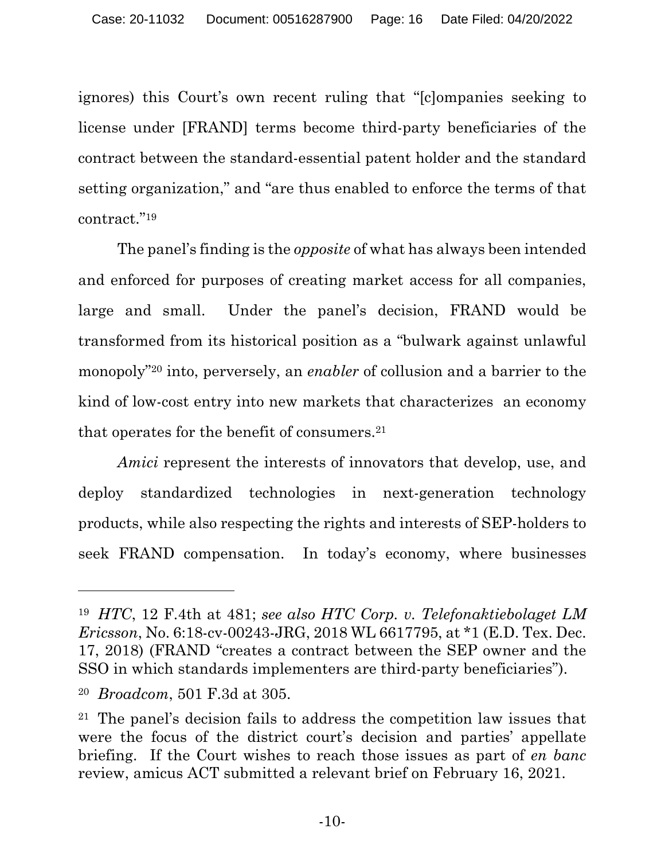ignores) this Court's own recent ruling that "[c]ompanies seeking to license under [FRAND] terms become third-party beneficiaries of the contract between the standard-essential patent holder and the standard setting organization," and "are thus enabled to enforce the terms of that contract."19

 The panel's finding is the *opposite* of what has always been intended and enforced for purposes of creating market access for all companies, large and small. Under the panel's decision, FRAND would be transformed from its historical position as a "bulwark against unlawful monopoly"20 into, perversely, an *enabler* of collusion and a barrier to the kind of low-cost entry into new markets that characterizes an economy that operates for the benefit of consumers.21

*Amici* represent the interests of innovators that develop, use, and deploy standardized technologies in next-generation technology products, while also respecting the rights and interests of SEP-holders to seek FRAND compensation. In today's economy, where businesses

<sup>19</sup> *HTC*, 12 F.4th at 481; *see also HTC Corp. v. Telefonaktiebolaget LM Ericsson*, No. 6:18-cv-00243-JRG, 2018 WL 6617795, at \*1 (E.D. Tex. Dec. 17, 2018) (FRAND "creates a contract between the SEP owner and the SSO in which standards implementers are third-party beneficiaries").

<sup>20</sup> *Broadcom*, 501 F.3d at 305.

<sup>21</sup> The panel's decision fails to address the competition law issues that were the focus of the district court's decision and parties' appellate briefing. If the Court wishes to reach those issues as part of *en banc* review, amicus ACT submitted a relevant brief on February 16, 2021.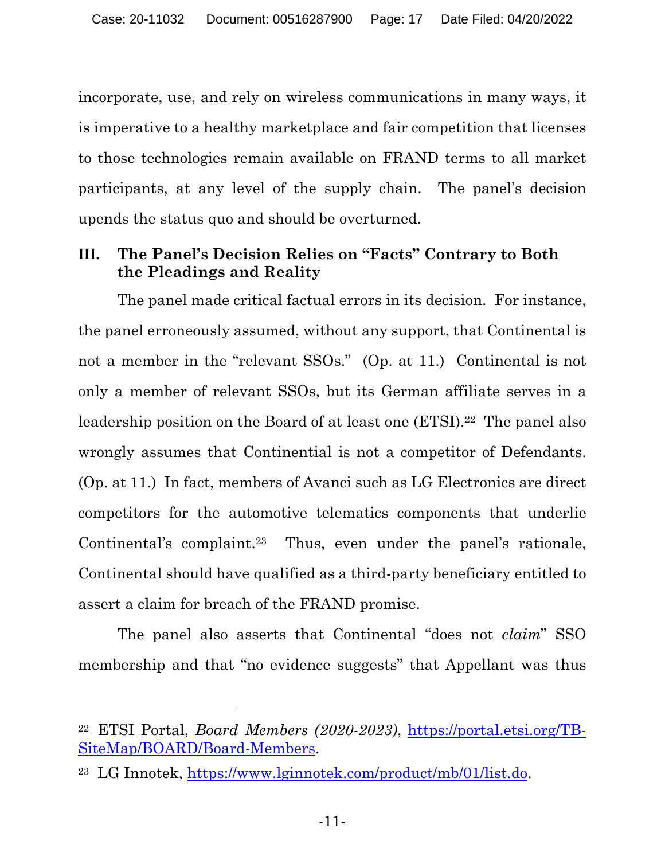incorporate, use, and rely on wireless communications in many ways, it is imperative to a healthy marketplace and fair competition that licenses to those technologies remain available on FRAND terms to all market participants, at any level of the supply chain. The panel's decision upends the status quo and should be overturned.

## **III. The Panel's Decision Relies on "Facts" Contrary to Both the Pleadings and Reality**

 The panel made critical factual errors in its decision. For instance, the panel erroneously assumed, without any support, that Continental is not a member in the "relevant SSOs." (Op. at 11.) Continental is not only a member of relevant SSOs, but its German affiliate serves in a leadership position on the Board of at least one (ETSI).<sup>22</sup> The panel also wrongly assumes that Continential is not a competitor of Defendants. (Op. at 11.) In fact, members of Avanci such as LG Electronics are direct competitors for the automotive telematics components that underlie Continental's complaint.23 Thus, even under the panel's rationale, Continental should have qualified as a third-party beneficiary entitled to assert a claim for breach of the FRAND promise.

 The panel also asserts that Continental "does not *claim*" SSO membership and that "no evidence suggests" that Appellant was thus

<sup>22</sup> ETSI Portal, *Board Members (2020-2023)*, https://portal.etsi.org/TB-SiteMap/BOARD/Board-Members.

<sup>23</sup> LG Innotek, https://www.lginnotek.com/product/mb/01/list.do.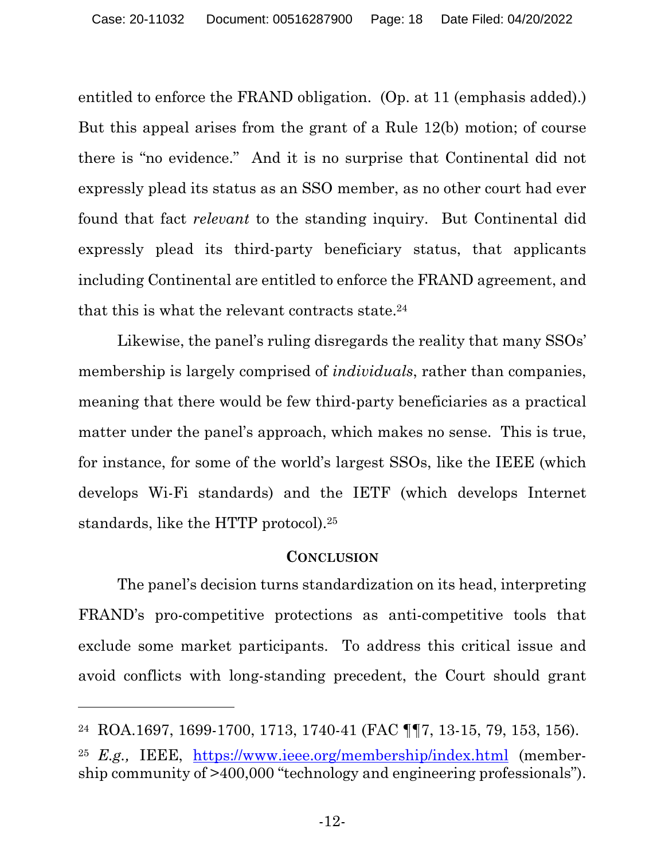entitled to enforce the FRAND obligation. (Op. at 11 (emphasis added).) But this appeal arises from the grant of a Rule 12(b) motion; of course there is "no evidence." And it is no surprise that Continental did not expressly plead its status as an SSO member, as no other court had ever found that fact *relevant* to the standing inquiry. But Continental did expressly plead its third-party beneficiary status, that applicants including Continental are entitled to enforce the FRAND agreement, and that this is what the relevant contracts state.<sup>24</sup>

 Likewise, the panel's ruling disregards the reality that many SSOs' membership is largely comprised of *individuals*, rather than companies, meaning that there would be few third-party beneficiaries as a practical matter under the panel's approach, which makes no sense. This is true, for instance, for some of the world's largest SSOs, like the IEEE (which develops Wi-Fi standards) and the IETF (which develops Internet standards, like the HTTP protocol).25

#### **CONCLUSION**

 The panel's decision turns standardization on its head, interpreting FRAND's pro-competitive protections as anti-competitive tools that exclude some market participants. To address this critical issue and avoid conflicts with long-standing precedent, the Court should grant

<sup>24</sup> ROA.1697, 1699-1700, 1713, 1740-41 (FAC ¶¶7, 13-15, 79, 153, 156).

<sup>25</sup> *E.g.,* IEEE, https://www.ieee.org/membership/index.html (membership community of >400,000 "technology and engineering professionals").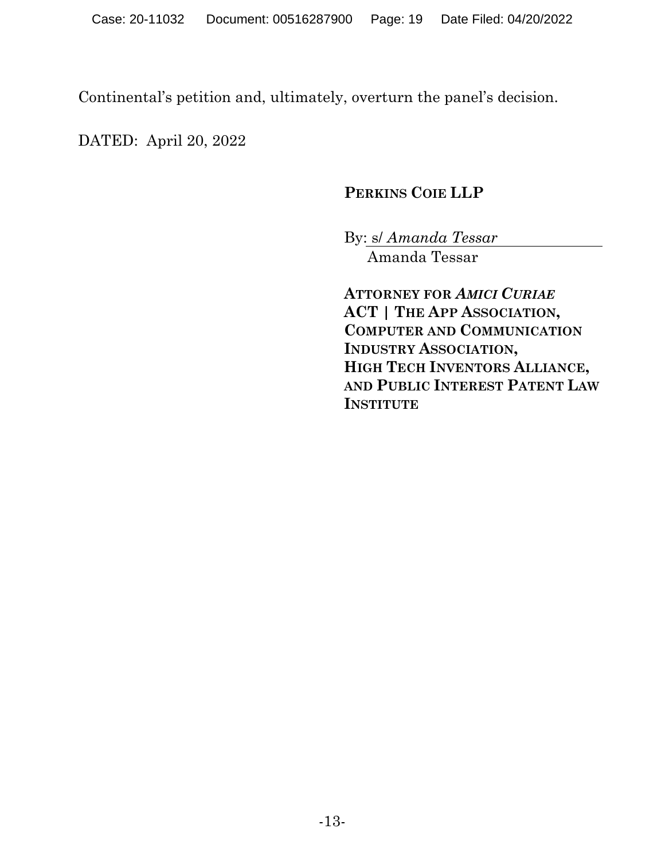Continental's petition and, ultimately, overturn the panel's decision.

DATED: April 20, 2022

# **PERKINS COIE LLP**

By: s/ *Amanda Tessar* 

Amanda Tessar

**ATTORNEY FOR** *AMICI CURIAE*  **ACT | THE APP ASSOCIATION, COMPUTER AND COMMUNICATION INDUSTRY ASSOCIATION, HIGH TECH INVENTORS ALLIANCE, AND PUBLIC INTEREST PATENT LAW INSTITUTE**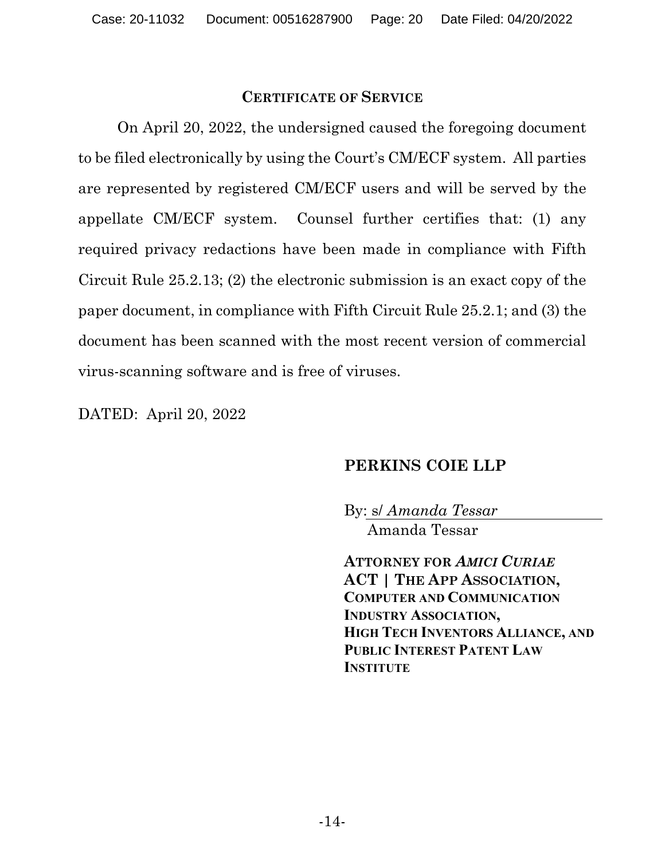#### **CERTIFICATE OF SERVICE**

On April 20, 2022, the undersigned caused the foregoing document to be filed electronically by using the Court's CM/ECF system. All parties are represented by registered CM/ECF users and will be served by the appellate CM/ECF system. Counsel further certifies that: (1) any required privacy redactions have been made in compliance with Fifth Circuit Rule 25.2.13; (2) the electronic submission is an exact copy of the paper document, in compliance with Fifth Circuit Rule 25.2.1; and (3) the document has been scanned with the most recent version of commercial virus-scanning software and is free of viruses.

DATED: April 20, 2022

### **PERKINS COIE LLP**

By: s/ *Amanda Tessar*  Amanda Tessar

**ATTORNEY FOR** *AMICI CURIAE*  **ACT | THE APP ASSOCIATION, COMPUTER AND COMMUNICATION INDUSTRY ASSOCIATION, HIGH TECH INVENTORS ALLIANCE, AND PUBLIC INTEREST PATENT LAW INSTITUTE**